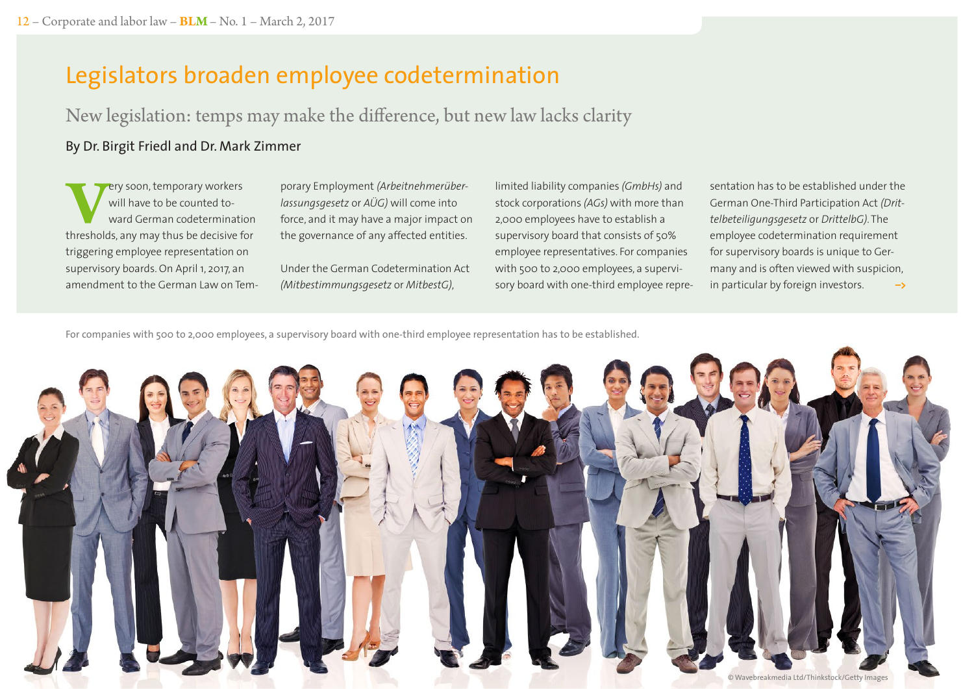# Legislators broaden employee codetermination

New legislation: temps may make the difference, but new law lacks clarity

## By Dr. Birgit Friedl and Dr. Mark Zimmer

**Very soon, temporary workers**<br>
will have to be counted to-<br>
thresholds, any may thus be decisive for will have to be counted toward German codetermination triggering employee representation on supervisory boards. On April 1, 2017, an amendment to the German Law on Temporary Employment *(Arbeitnehmerüberlassungsgesetz* or *AÜG)* will come into force, and it may have a major impact on the governance of any affected entities.

Under the German Codetermination Act *(Mitbestimmungsgesetz* or *MitbestG)*,

limited liability companies *(GmbHs)* and stock corporations *(AGs)* with more than 2,000 employees have to establish a supervisory board that consists of 50% employee representatives. For companies with 500 to 2,000 employees, a supervisory board with one-third employee representation has to be established under the German One-Third Participation Act *(Drittelbeteiligungsgesetz* or *DrittelbG)*. The employee codetermination requirement for supervisory boards is unique to Germany and is often viewed with suspicion, in particular by foreign investors. **–>**

For companies with 500 to 2,000 employees, a supervisory board with one-third employee representation has to be established.

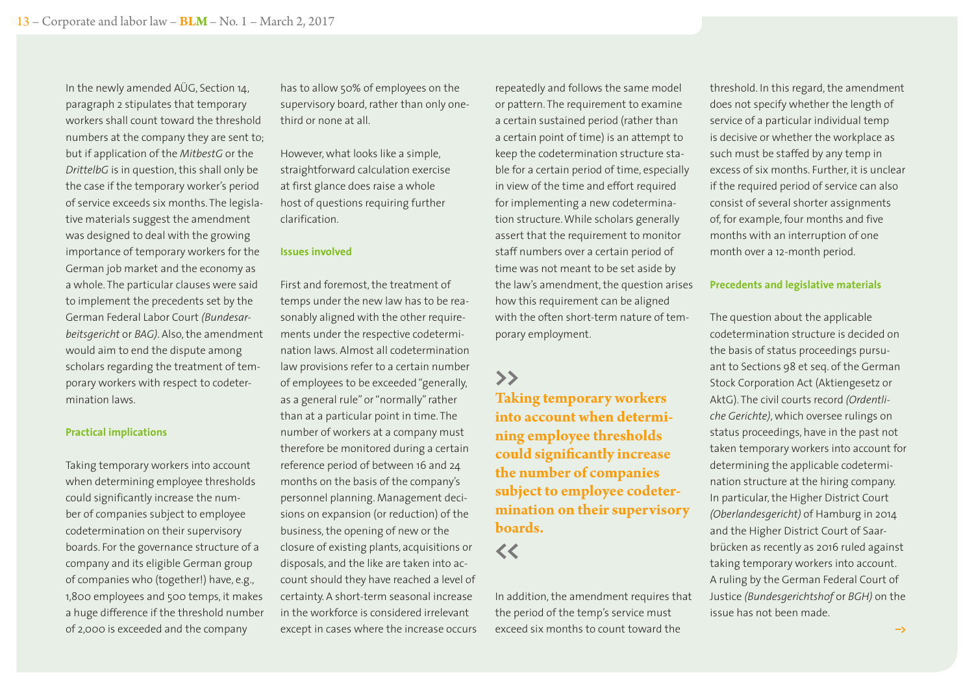In the newly amended AÜG, Section 14, paragraph 2 stipulates that temporary workers shall count toward the threshold numbers at the company they are sent to; but if application of the *MitbestG* or the *DrittelbG* is in question, this shall only be the case if the temporary worker's period of service exceeds six months. The legislative materials suggest the amendment was designed to deal with the growing importance of temporary workers for the German job market and the economy as a whole. The particular clauses were said to implement the precedents set by the German Federal Labor Court *(Bundesarbeitsgericht* or *BAG)*. Also, the amendment would aim to end the dispute among scholars regarding the treatment of temporary workers with respect to codetermination laws.

#### **Practical implications**

Taking temporary workers into account when determining employee thresholds could significantly increase the number of companies subject to employee codetermination on their supervisory boards. For the governance structure of a company and its eligible German group of companies who (together!) have, e.g., 1,800 employees and 500 temps, it makes a huge difference if the threshold number of 2,000 is exceeded and the company

has to allow 50% of employees on the supervisory board, rather than only onethird or none at all.

However, what looks like a simple, straightforward calculation exercise at first glance does raise a whole host of questions requiring further clarification.

#### **Issues involved**

First and foremost, the treatment of temps under the new law has to be reasonably aligned with the other requirements under the respective codetermination laws. Almost all codetermination law provisions refer to a certain number of employees to be exceeded "generally, as a general rule" or "normally" rather than at a particular point in time. The number of workers at a company must therefore be monitored during a certain reference period of between 16 and 24 months on the basis of the company's personnel planning. Management decisions on expansion (or reduction) of the business, the opening of new or the closure of existing plants, acquisitions or disposals, and the like are taken into account should they have reached a level of certainty. A short-term seasonal increase in the workforce is considered irrelevant except in cases where the increase occurs repeatedly and follows the same model or pattern. The requirement to examine a certain sustained period (rather than a certain point of time) is an attempt to keep the codetermination structure stable for a certain period of time, especially in view of the time and effort required for implementing a new codetermination structure. While scholars generally assert that the requirement to monitor staff numbers over a certain period of time was not meant to be set aside by the law's amendment, the question arises how this requirement can be aligned with the often short-term nature of temporary employment.

## **>>**

**Taking temporary workers into account when determining employee thresholds could significantly increase the number of companies subject to employee codetermination on their supervisory boards.** 

## **<<**

In addition, the amendment requires that the period of the temp's service must exceed six months to count toward the

threshold. In this regard, the amendment does not specify whether the length of service of a particular individual temp is decisive or whether the workplace as such must be staffed by any temp in excess of six months. Further, it is unclear if the required period of service can also consist of several shorter assignments of, for example, four months and five months with an interruption of one month over a 12-month period.

#### **Precedents and legislative materials**

The question about the applicable codetermination structure is decided on the basis of status proceedings pursuant to Sections 98 et seq. of the German Stock Corporation Act (Aktiengesetz or AktG). The civil courts record *(Ordentliche Gerichte)*, which oversee rulings on status proceedings, have in the past not taken temporary workers into account for determining the applicable codetermination structure at the hiring company. In particular, the Higher District Court *(Oberlandesgericht)* of Hamburg in 2014 and the Higher District Court of Saarbrücken as recently as 2016 ruled against taking temporary workers into account. A ruling by the German Federal Court of Justice *(Bundesgerichtshof* or *BGH)* on the issue has not been made.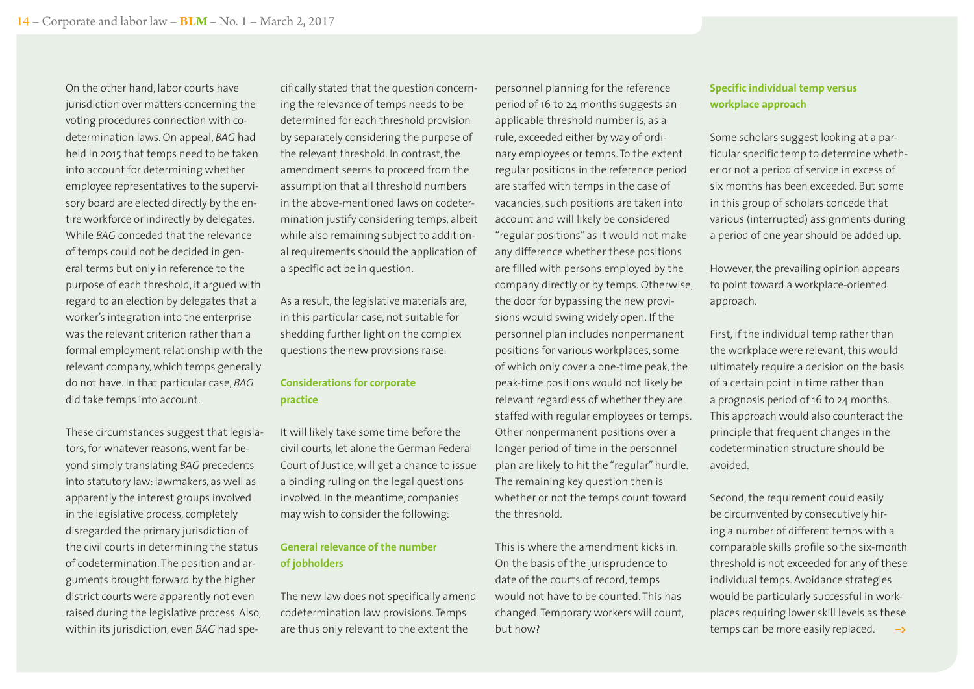On the other hand, labor courts have jurisdiction over matters concerning the voting procedures connection with codetermination laws. On appeal, *BAG* had held in 2015 that temps need to be taken into account for determining whether employee representatives to the supervisory board are elected directly by the entire workforce or indirectly by delegates. While *BAG* conceded that the relevance of temps could not be decided in general terms but only in reference to the purpose of each threshold, it argued with regard to an election by delegates that a worker's integration into the enterprise was the relevant criterion rather than a formal employment relationship with the relevant company, which temps generally do not have. In that particular case, *BAG* did take temps into account.

These circumstances suggest that legislators, for whatever reasons, went far beyond simply translating *BAG* precedents into statutory law: lawmakers, as well as apparently the interest groups involved in the legislative process, completely disregarded the primary jurisdiction of the civil courts in determining the status of codetermination. The position and arguments brought forward by the higher district courts were apparently not even raised during the legislative process. Also, within its jurisdiction, even *BAG* had specifically stated that the question concerning the relevance of temps needs to be determined for each threshold provision by separately considering the purpose of the relevant threshold. In contrast, the amendment seems to proceed from the assumption that all threshold numbers in the above-mentioned laws on codetermination justify considering temps, albeit while also remaining subject to additional requirements should the application of a specific act be in question.

As a result, the legislative materials are, in this particular case, not suitable for shedding further light on the complex questions the new provisions raise.

#### **Considerations for corporate practice**

It will likely take some time before the civil courts, let alone the German Federal Court of Justice, will get a chance to issue a binding ruling on the legal questions involved. In the meantime, companies may wish to consider the following:

### **General relevance of the number of jobholders**

The new law does not specifically amend codetermination law provisions. Temps are thus only relevant to the extent the

personnel planning for the reference period of 16 to 24 months suggests an applicable threshold number is, as a rule, exceeded either by way of ordinary employees or temps. To the extent regular positions in the reference period are staffed with temps in the case of vacancies, such positions are taken into account and will likely be considered "regular positions" as it would not make any difference whether these positions are filled with persons employed by the company directly or by temps. Otherwise, the door for bypassing the new provisions would swing widely open. If the personnel plan includes nonpermanent positions for various workplaces, some of which only cover a one-time peak, the peak-time positions would not likely be relevant regardless of whether they are staffed with regular employees or temps. Other nonpermanent positions over a longer period of time in the personnel plan are likely to hit the "regular" hurdle. The remaining key question then is whether or not the temps count toward the threshold.

This is where the amendment kicks in. On the basis of the jurisprudence to date of the courts of record, temps would not have to be counted. This has changed. Temporary workers will count, but how?

#### **Specific individual temp versus workplace approach**

Some scholars suggest looking at a particular specific temp to determine whether or not a period of service in excess of six months has been exceeded. But some in this group of scholars concede that various (interrupted) assignments during a period of one year should be added up.

However, the prevailing opinion appears to point toward a workplace-oriented approach.

First, if the individual temp rather than the workplace were relevant, this would ultimately require a decision on the basis of a certain point in time rather than a prognosis period of 16 to 24 months. This approach would also counteract the principle that frequent changes in the codetermination structure should be avoided.

Second, the requirement could easily be circumvented by consecutively hiring a number of different temps with a comparable skills profile so the six-month threshold is not exceeded for any of these individual temps. Avoidance strategies would be particularly successful in workplaces requiring lower skill levels as these temps can be more easily replaced. **–>**